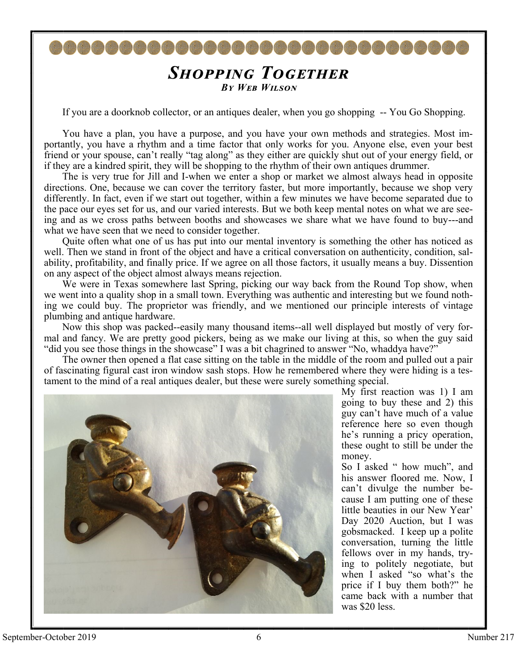## *Shopping Together By Web Wilson*

800000000000000000

If you are a doorknob collector, or an antiques dealer, when you go shopping -- You Go Shopping.

You have a plan, you have a purpose, and you have your own methods and strategies. Most importantly, you have a rhythm and a time factor that only works for you. Anyone else, even your best friend or your spouse, can't really "tag along" as they either are quickly shut out of your energy field, or if they are a kindred spirit, they will be shopping to the rhythm of their own antiques drummer.

The is very true for Jill and I-when we enter a shop or market we almost always head in opposite directions. One, because we can cover the territory faster, but more importantly, because we shop very differently. In fact, even if we start out together, within a few minutes we have become separated due to the pace our eyes set for us, and our varied interests. But we both keep mental notes on what we are seeing and as we cross paths between booths and showcases we share what we have found to buy---and what we have seen that we need to consider together.

Quite often what one of us has put into our mental inventory is something the other has noticed as well. Then we stand in front of the object and have a critical conversation on authenticity, condition, salability, profitability, and finally price. If we agree on all those factors, it usually means a buy. Dissention on any aspect of the object almost always means rejection.

We were in Texas somewhere last Spring, picking our way back from the Round Top show, when we went into a quality shop in a small town. Everything was authentic and interesting but we found nothing we could buy. The proprietor was friendly, and we mentioned our principle interests of vintage plumbing and antique hardware.

Now this shop was packed--easily many thousand items--all well displayed but mostly of very formal and fancy. We are pretty good pickers, being as we make our living at this, so when the guy said "did you see those things in the showcase" I was a bit chagrined to answer "No, whaddya have?"

The owner then opened a flat case sitting on the table in the middle of the room and pulled out a pair of fascinating figural cast iron window sash stops. How he remembered where they were hiding is a testament to the mind of a real antiques dealer, but these were surely something special.



My first reaction was 1) I am going to buy these and 2) this guy can't have much of a value reference here so even though he's running a pricy operation, these ought to still be under the money.

So I asked " how much", and his answer floored me. Now, I can't divulge the number because I am putting one of these little beauties in our New Year' Day 2020 Auction, but I was gobsmacked. I keep up a polite conversation, turning the little fellows over in my hands, trying to politely negotiate, but when I asked "so what's the price if I buy them both?" he came back with a number that was \$20 less.